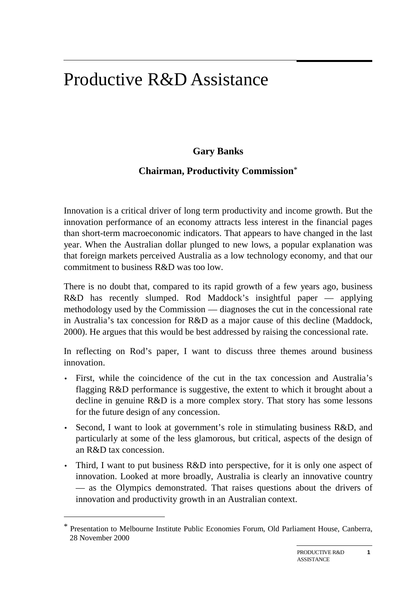# Productive R&D Assistance

## **Gary Banks**

## **Chairman, Productivity Commission**\*

Innovation is a critical driver of long term productivity and income growth. But the innovation performance of an economy attracts less interest in the financial pages than short-term macroeconomic indicators. That appears to have changed in the last year. When the Australian dollar plunged to new lows, a popular explanation was that foreign markets perceived Australia as a low technology economy, and that our commitment to business R&D was too low.

There is no doubt that, compared to its rapid growth of a few years ago, business R&D has recently slumped. Rod Maddock's insightful paper — applying methodology used by the Commission — diagnoses the cut in the concessional rate in Australia's tax concession for R&D as a major cause of this decline (Maddock, 2000). He argues that this would be best addressed by raising the concessional rate.

In reflecting on Rod's paper, I want to discuss three themes around business innovation.

- First, while the coincidence of the cut in the tax concession and Australia's flagging R&D performance is suggestive, the extent to which it brought about a decline in genuine R&D is a more complex story. That story has some lessons for the future design of any concession.
- Second, I want to look at government's role in stimulating business R&D, and particularly at some of the less glamorous, but critical, aspects of the design of an R&D tax concession.
- Third, I want to put business R&D into perspective, for it is only one aspect of innovation. Looked at more broadly, Australia is clearly an innovative country — as the Olympics demonstrated. That raises questions about the drivers of innovation and productivity growth in an Australian context.

 $\overline{a}$ 

<sup>\*</sup> Presentation to Melbourne Institute Public Economies Forum, Old Parliament House, Canberra, 28 November 2000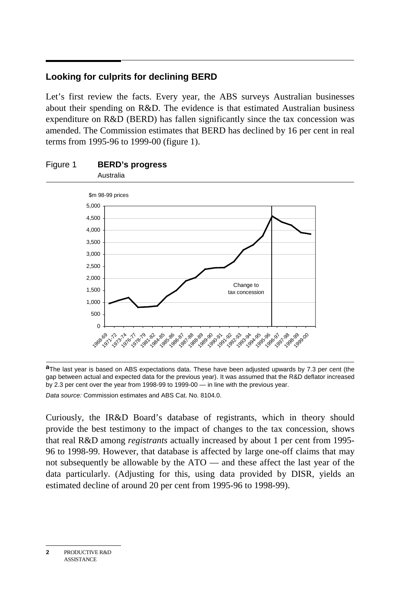## **Looking for culprits for declining BERD**

Let's first review the facts. Every year, the ABS surveys Australian businesses about their spending on R&D. The evidence is that estimated Australian business expenditure on R&D (BERD) has fallen significantly since the tax concession was amended. The Commission estimates that BERD has declined by 16 per cent in real terms from 1995-96 to 1999-00 (figure 1).



# Figure 1 **BERD's progress**

**a**The last year is based on ABS expectations data. These have been adjusted upwards by 7.3 per cent (the gap between actual and expected data for the previous year). It was assumed that the R&D deflator increased by 2.3 per cent over the year from 1998-99 to 1999-00 — in line with the previous year.

Data source: Commission estimates and ABS Cat. No. 8104.0.

Curiously, the IR&D Board's database of registrants, which in theory should provide the best testimony to the impact of changes to the tax concession, shows that real R&D among *registrants* actually increased by about 1 per cent from 1995- 96 to 1998-99. However, that database is affected by large one-off claims that may not subsequently be allowable by the ATO — and these affect the last year of the data particularly. (Adjusting for this, using data provided by DISR, yields an estimated decline of around 20 per cent from 1995-96 to 1998-99).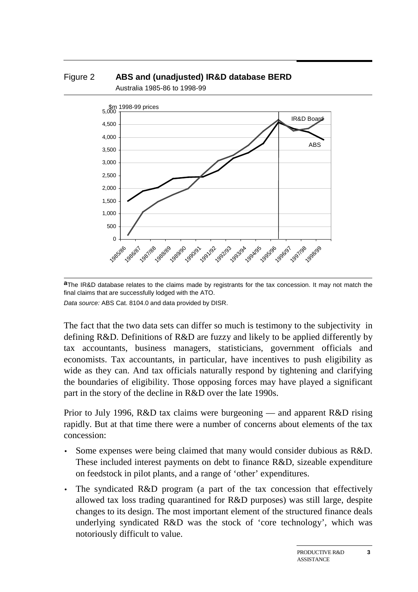



**a**The IR&D database relates to the claims made by registrants for the tax concession. It may not match the final claims that are successfully lodged with the ATO. Data source: ABS Cat. 8104.0 and data provided by DISR.

The fact that the two data sets can differ so much is testimony to the subjectivity in defining R&D. Definitions of R&D are fuzzy and likely to be applied differently by tax accountants, business managers, statisticians, government officials and economists. Tax accountants, in particular, have incentives to push eligibility as wide as they can. And tax officials naturally respond by tightening and clarifying the boundaries of eligibility. Those opposing forces may have played a significant part in the story of the decline in R&D over the late 1990s.

Prior to July 1996, R&D tax claims were burgeoning — and apparent R&D rising rapidly. But at that time there were a number of concerns about elements of the tax concession:

- Some expenses were being claimed that many would consider dubious as R&D. These included interest payments on debt to finance R&D, sizeable expenditure on feedstock in pilot plants, and a range of 'other' expenditures.
- The syndicated R&D program (a part of the tax concession that effectively allowed tax loss trading quarantined for R&D purposes) was still large, despite changes to its design. The most important element of the structured finance deals underlying syndicated R&D was the stock of 'core technology', which was notoriously difficult to value.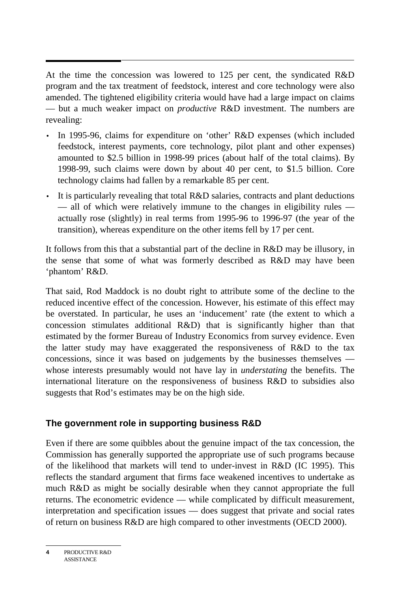At the time the concession was lowered to 125 per cent, the syndicated R&D program and the tax treatment of feedstock, interest and core technology were also amended. The tightened eligibility criteria would have had a large impact on claims — but a much weaker impact on *productive* R&D investment. The numbers are revealing:

- In 1995-96, claims for expenditure on 'other' R&D expenses (which included feedstock, interest payments, core technology, pilot plant and other expenses) amounted to \$2.5 billion in 1998-99 prices (about half of the total claims). By 1998-99, such claims were down by about 40 per cent, to \$1.5 billion. Core technology claims had fallen by a remarkable 85 per cent.
- It is particularly revealing that total R&D salaries, contracts and plant deductions — all of which were relatively immune to the changes in eligibility rules actually rose (slightly) in real terms from 1995-96 to 1996-97 (the year of the transition), whereas expenditure on the other items fell by 17 per cent.

It follows from this that a substantial part of the decline in R&D may be illusory, in the sense that some of what was formerly described as R&D may have been 'phantom' R&D.

That said, Rod Maddock is no doubt right to attribute some of the decline to the reduced incentive effect of the concession. However, his estimate of this effect may be overstated. In particular, he uses an 'inducement' rate (the extent to which a concession stimulates additional R&D) that is significantly higher than that estimated by the former Bureau of Industry Economics from survey evidence. Even the latter study may have exaggerated the responsiveness of R&D to the tax concessions, since it was based on judgements by the businesses themselves whose interests presumably would not have lay in *understating* the benefits. The international literature on the responsiveness of business R&D to subsidies also suggests that Rod's estimates may be on the high side.

#### **The government role in supporting business R&D**

Even if there are some quibbles about the genuine impact of the tax concession, the Commission has generally supported the appropriate use of such programs because of the likelihood that markets will tend to under-invest in R&D (IC 1995). This reflects the standard argument that firms face weakened incentives to undertake as much R&D as might be socially desirable when they cannot appropriate the full returns. The econometric evidence — while complicated by difficult measurement, interpretation and specification issues — does suggest that private and social rates of return on business R&D are high compared to other investments (OECD 2000).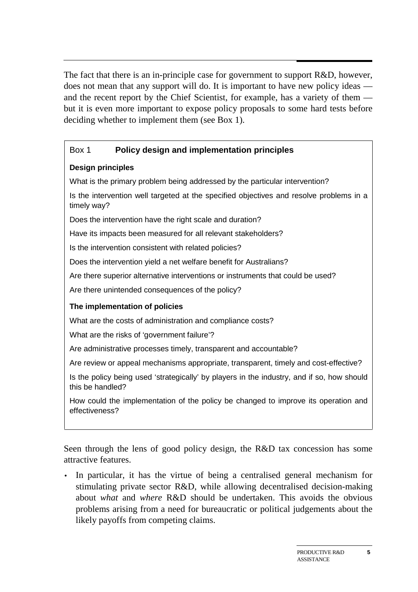The fact that there is an in-principle case for government to support R&D, however, does not mean that any support will do. It is important to have new policy ideas and the recent report by the Chief Scientist, for example, has a variety of them but it is even more important to expose policy proposals to some hard tests before deciding whether to implement them (see Box 1).

#### Box 1 **Policy design and implementation principles**

#### **Design principles**

What is the primary problem being addressed by the particular intervention?

Is the intervention well targeted at the specified objectives and resolve problems in a timely way?

Does the intervention have the right scale and duration?

Have its impacts been measured for all relevant stakeholders?

Is the intervention consistent with related policies?

Does the intervention yield a net welfare benefit for Australians?

Are there superior alternative interventions or instruments that could be used?

Are there unintended consequences of the policy?

#### **The implementation of policies**

What are the costs of administration and compliance costs?

What are the risks of 'government failure'?

Are administrative processes timely, transparent and accountable?

Are review or appeal mechanisms appropriate, transparent, timely and cost-effective?

Is the policy being used 'strategically' by players in the industry, and if so, how should this be handled?

How could the implementation of the policy be changed to improve its operation and effectiveness?

Seen through the lens of good policy design, the R&D tax concession has some attractive features.

• In particular, it has the virtue of being a centralised general mechanism for stimulating private sector R&D, while allowing decentralised decision-making about *what* and *where* R&D should be undertaken. This avoids the obvious problems arising from a need for bureaucratic or political judgements about the likely payoffs from competing claims.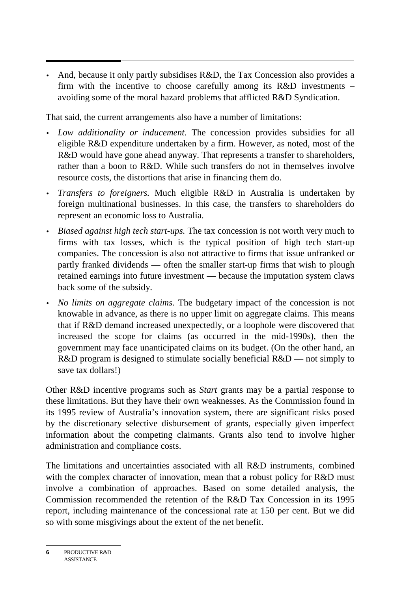• And, because it only partly subsidises R&D, the Tax Concession also provides a firm with the incentive to choose carefully among its R&D investments – avoiding some of the moral hazard problems that afflicted R&D Syndication.

That said, the current arrangements also have a number of limitations:

- *Low additionality or inducement*. The concession provides subsidies for all eligible R&D expenditure undertaken by a firm. However, as noted, most of the R&D would have gone ahead anyway. That represents a transfer to shareholders, rather than a boon to R&D. While such transfers do not in themselves involve resource costs, the distortions that arise in financing them do.
- *Transfers to foreigners.* Much eligible R&D in Australia is undertaken by foreign multinational businesses. In this case, the transfers to shareholders do represent an economic loss to Australia.
- *Biased against high tech start-ups.* The tax concession is not worth very much to firms with tax losses, which is the typical position of high tech start-up companies. The concession is also not attractive to firms that issue unfranked or partly franked dividends — often the smaller start-up firms that wish to plough retained earnings into future investment — because the imputation system claws back some of the subsidy.
- *No limits on aggregate claims.* The budgetary impact of the concession is not knowable in advance, as there is no upper limit on aggregate claims. This means that if R&D demand increased unexpectedly, or a loophole were discovered that increased the scope for claims (as occurred in the mid-1990s), then the government may face unanticipated claims on its budget. (On the other hand, an R&D program is designed to stimulate socially beneficial R&D — not simply to save tax dollars!)

Other R&D incentive programs such as *Start* grants may be a partial response to these limitations. But they have their own weaknesses. As the Commission found in its 1995 review of Australia's innovation system, there are significant risks posed by the discretionary selective disbursement of grants, especially given imperfect information about the competing claimants. Grants also tend to involve higher administration and compliance costs.

The limitations and uncertainties associated with all R&D instruments, combined with the complex character of innovation, mean that a robust policy for R&D must involve a combination of approaches. Based on some detailed analysis, the Commission recommended the retention of the R&D Tax Concession in its 1995 report, including maintenance of the concessional rate at 150 per cent. But we did so with some misgivings about the extent of the net benefit.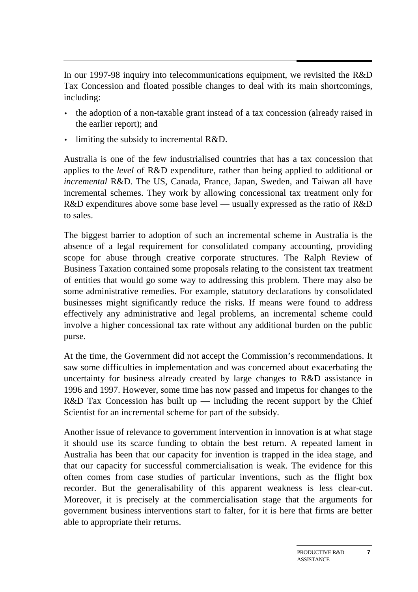In our 1997-98 inquiry into telecommunications equipment, we revisited the R&D Tax Concession and floated possible changes to deal with its main shortcomings, including:

- the adoption of a non-taxable grant instead of a tax concession (already raised in the earlier report); and
- limiting the subsidy to incremental  $R&D$ .

Australia is one of the few industrialised countries that has a tax concession that applies to the *level* of R&D expenditure, rather than being applied to additional or *incremental* R&D. The US, Canada, France, Japan, Sweden, and Taiwan all have incremental schemes. They work by allowing concessional tax treatment only for R&D expenditures above some base level — usually expressed as the ratio of R&D to sales.

The biggest barrier to adoption of such an incremental scheme in Australia is the absence of a legal requirement for consolidated company accounting, providing scope for abuse through creative corporate structures. The Ralph Review of Business Taxation contained some proposals relating to the consistent tax treatment of entities that would go some way to addressing this problem. There may also be some administrative remedies. For example, statutory declarations by consolidated businesses might significantly reduce the risks. If means were found to address effectively any administrative and legal problems, an incremental scheme could involve a higher concessional tax rate without any additional burden on the public purse.

At the time, the Government did not accept the Commission's recommendations. It saw some difficulties in implementation and was concerned about exacerbating the uncertainty for business already created by large changes to R&D assistance in 1996 and 1997. However, some time has now passed and impetus for changes to the R&D Tax Concession has built up — including the recent support by the Chief Scientist for an incremental scheme for part of the subsidy.

Another issue of relevance to government intervention in innovation is at what stage it should use its scarce funding to obtain the best return. A repeated lament in Australia has been that our capacity for invention is trapped in the idea stage, and that our capacity for successful commercialisation is weak. The evidence for this often comes from case studies of particular inventions, such as the flight box recorder. But the generalisability of this apparent weakness is less clear-cut. Moreover, it is precisely at the commercialisation stage that the arguments for government business interventions start to falter, for it is here that firms are better able to appropriate their returns.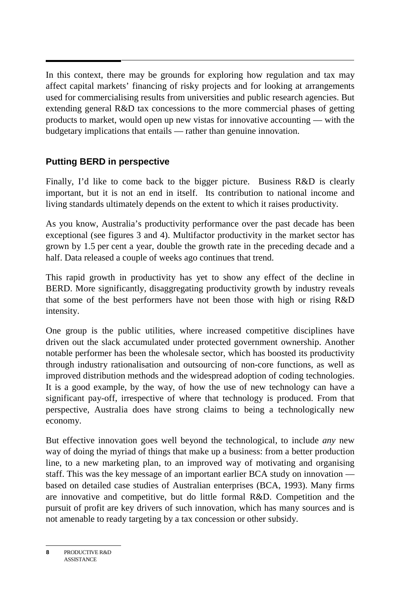In this context, there may be grounds for exploring how regulation and tax may affect capital markets' financing of risky projects and for looking at arrangements used for commercialising results from universities and public research agencies. But extending general R&D tax concessions to the more commercial phases of getting products to market, would open up new vistas for innovative accounting — with the budgetary implications that entails — rather than genuine innovation.

## **Putting BERD in perspective**

Finally, I'd like to come back to the bigger picture. Business R&D is clearly important, but it is not an end in itself. Its contribution to national income and living standards ultimately depends on the extent to which it raises productivity.

As you know, Australia's productivity performance over the past decade has been exceptional (see figures 3 and 4). Multifactor productivity in the market sector has grown by 1.5 per cent a year, double the growth rate in the preceding decade and a half. Data released a couple of weeks ago continues that trend.

This rapid growth in productivity has yet to show any effect of the decline in BERD. More significantly, disaggregating productivity growth by industry reveals that some of the best performers have not been those with high or rising R&D intensity.

One group is the public utilities, where increased competitive disciplines have driven out the slack accumulated under protected government ownership. Another notable performer has been the wholesale sector, which has boosted its productivity through industry rationalisation and outsourcing of non-core functions, as well as improved distribution methods and the widespread adoption of coding technologies. It is a good example, by the way, of how the use of new technology can have a significant pay-off, irrespective of where that technology is produced. From that perspective, Australia does have strong claims to being a technologically new economy.

But effective innovation goes well beyond the technological, to include *any* new way of doing the myriad of things that make up a business: from a better production line, to a new marketing plan, to an improved way of motivating and organising staff. This was the key message of an important earlier BCA study on innovation based on detailed case studies of Australian enterprises (BCA, 1993). Many firms are innovative and competitive, but do little formal R&D. Competition and the pursuit of profit are key drivers of such innovation, which has many sources and is not amenable to ready targeting by a tax concession or other subsidy.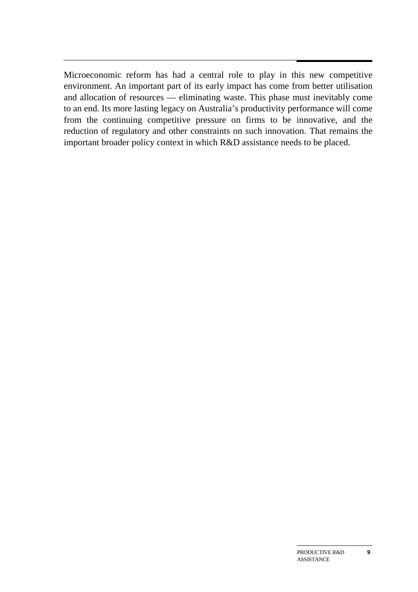Microeconomic reform has had a central role to play in this new competitive environment. An important part of its early impact has come from better utilisation and allocation of resources — eliminating waste. This phase must inevitably come to an end. Its more lasting legacy on Australia's productivity performance will come from the continuing competitive pressure on firms to be innovative, and the reduction of regulatory and other constraints on such innovation. That remains the important broader policy context in which R&D assistance needs to be placed.

**9**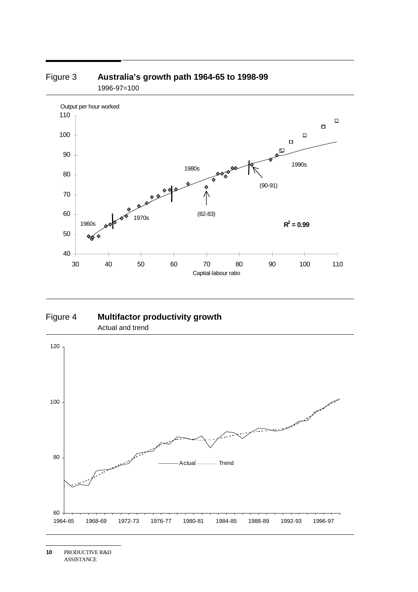

#### Figure 3 **Australia's growth path 1964-65 to 1998-99** 1996-97=100

Figure 4 **Multifactor productivity growth** Actual and trend